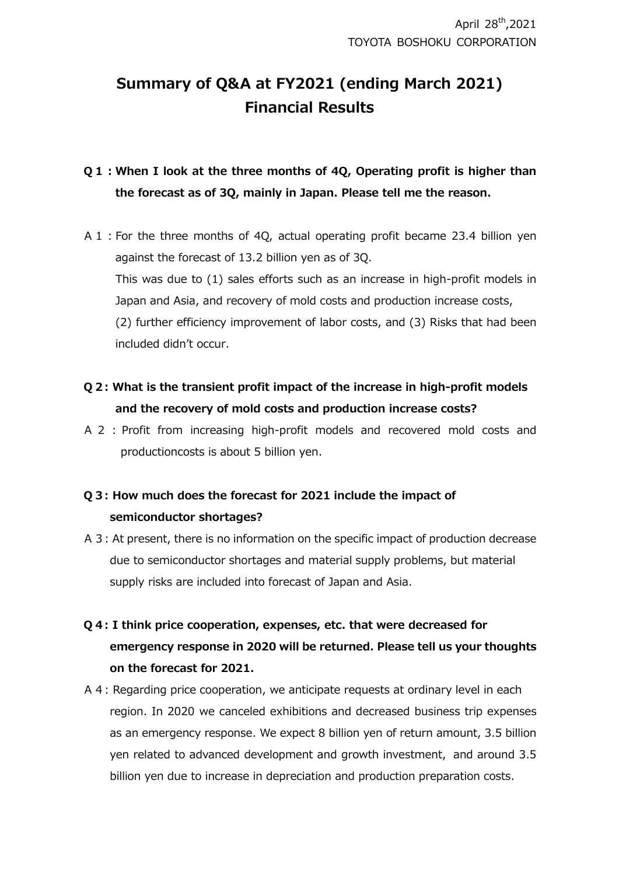# **Summary of Q&A at FY2021 (ending March 2021) Financial Results**

## **Q1:When I look at the three months of 4Q, Operating profit is higher than the forecast as of 3Q, mainly in Japan. Please tell me the reason.**

- A1:For the three months of 4Q, actual operating profit became 23.4 billion yen against the forecast of 13.2 billion yen as of 3Q. This was due to (1) sales efforts such as an increase in high-profit models in Japan and Asia, and recovery of mold costs and production increase costs, (2) further efficiency improvement of labor costs, and (3) Risks that had been included didn't occur.
- **Q2: What is the transient profit impact of the increase in high-profit models and the recovery of mold costs and production increase costs?**
- A 2 : Profit from increasing high-profit models and recovered mold costs and productioncosts is about 5 billion yen.

## **Q3: How much does the forecast for 2021 include the impact of semiconductor shortages?**

A3: At present, there is no information on the specific impact of production decrease due to semiconductor shortages and material supply problems, but material supply risks are included into forecast of Japan and Asia.

# **Q4: I think price cooperation, expenses, etc. that were decreased for emergency response in 2020 will be returned. Please tell us your thoughts on the forecast for 2021.**

A4: Regarding price cooperation, we anticipate requests at ordinary level in each region. In 2020 we canceled exhibitions and decreased business trip expenses as an emergency response. We expect 8 billion yen of return amount, 3.5 billion yen related to advanced development and growth investment, and around 3.5 billion yen due to increase in depreciation and production preparation costs.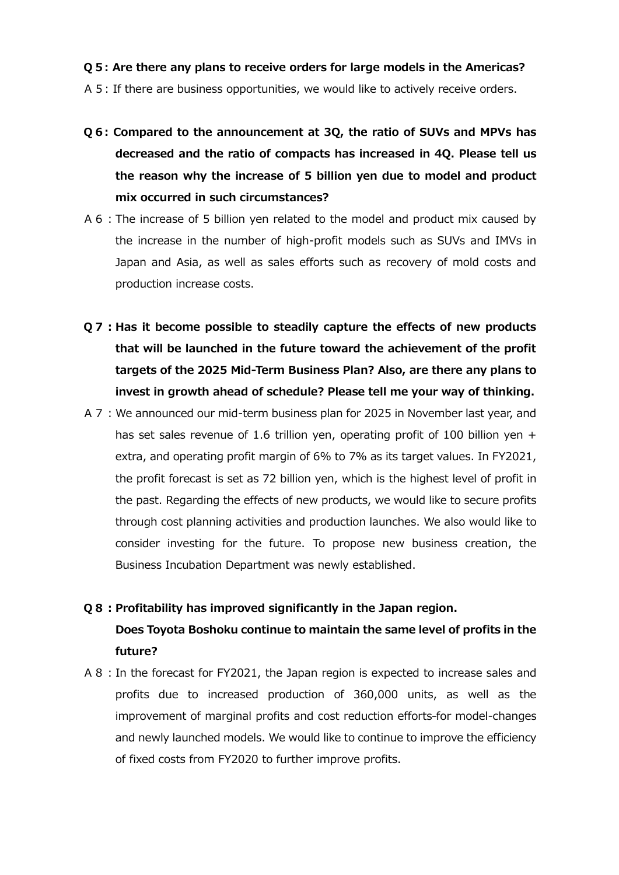### **Q5: Are there any plans to receive orders for large models in the Americas?**

- A5: If there are business opportunities, we would like to actively receive orders.
- **Q6: Compared to the announcement at 3Q, the ratio of SUVs and MPVs has decreased and the ratio of compacts has increased in 4Q. Please tell us the reason why the increase of 5 billion yen due to model and product mix occurred in such circumstances?**
- A6:The increase of 5 billion yen related to the model and product mix caused by the increase in the number of high-profit models such as SUVs and IMVs in Japan and Asia, as well as sales efforts such as recovery of mold costs and production increase costs.
- **Q7:Has it become possible to steadily capture the effects of new products that will be launched in the future toward the achievement of the profit targets of the 2025 Mid-Term Business Plan? Also, are there any plans to invest in growth ahead of schedule? Please tell me your way of thinking.**
- A7:We announced our mid-term business plan for 2025 in November last year, and has set sales revenue of 1.6 trillion yen, operating profit of 100 billion yen + extra, and operating profit margin of 6% to 7% as its target values. In FY2021, the profit forecast is set as 72 billion yen, which is the highest level of profit in the past. Regarding the effects of new products, we would like to secure profits through cost planning activities and production launches. We also would like to consider investing for the future. To propose new business creation, the Business Incubation Department was newly established.

#### **Q8:Profitability has improved significantly in the Japan region.**

**Does Toyota Boshoku continue to maintain the same level of profits in the future?**

A8:In the forecast for FY2021, the Japan region is expected to increase sales and profits due to increased production of 360,000 units, as well as the improvement of marginal profits and cost reduction efforts-for model-changes and newly launched models. We would like to continue to improve the efficiency of fixed costs from FY2020 to further improve profits.